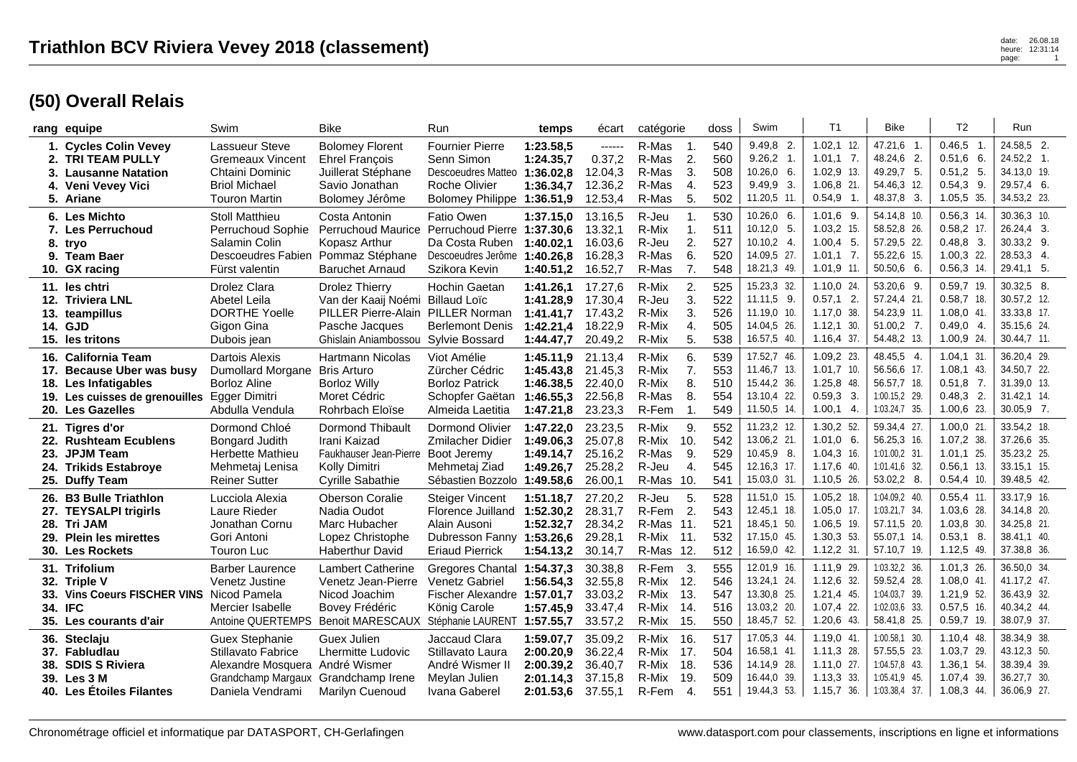## **(50) Overall Relais**

|          | rang equipe                                                                                                                                  | Swim                                                                                                         | <b>Bike</b>                                                                                                   | Run                                                                                                                | temps                                                         | écart                                               | catégorie                                                                                     | doss                            | Swim                                                                       | T <sub>1</sub>                                                             | <b>Bike</b>                                                                     | T <sub>2</sub>                                                             | Run                                                                      |
|----------|----------------------------------------------------------------------------------------------------------------------------------------------|--------------------------------------------------------------------------------------------------------------|---------------------------------------------------------------------------------------------------------------|--------------------------------------------------------------------------------------------------------------------|---------------------------------------------------------------|-----------------------------------------------------|-----------------------------------------------------------------------------------------------|---------------------------------|----------------------------------------------------------------------------|----------------------------------------------------------------------------|---------------------------------------------------------------------------------|----------------------------------------------------------------------------|--------------------------------------------------------------------------|
| 2.<br>4. | 1. Cycles Colin Vevey<br><b>TRI TEAM PULLY</b><br>3. Lausanne Natation<br>Veni Vevey Vici<br>5. Ariane                                       | Lassueur Steve<br><b>Gremeaux Vincent</b><br>Chtaini Dominic<br><b>Briol Michael</b><br><b>Touron Martin</b> | <b>Bolomey Florent</b><br><b>Ehrel François</b><br>Juillerat Stéphane<br>Savio Jonathan<br>Bolomey Jérôme     | <b>Fournier Pierre</b><br>Senn Simon<br>Descoeudres Matteo<br><b>Roche Olivier</b><br>Bolomey Philippe 1:36.51,9   | 1:23.58,5<br>1:24.35,7<br>1:36.02,8<br>1:36.34,7              | $-----1$<br>0.37,2<br>12.04,3<br>12.36,2<br>12.53,4 | R-Mas<br>-1.<br>R-Mas<br>2.<br>3.<br>R-Mas<br>R-Mas<br>4.<br>R-Mas<br>5.                      | 540<br>560<br>508<br>523<br>502 | $9.49.8$ 2.<br>9.26, 2 1.<br>10.26,0 6.<br>$9.49.9$ 3.<br>11.20,5 11.      | $1.02, 1$ 12.<br>$1.01,1$ 7.<br>$1.02,9$ 13.<br>1.06,8 21.<br>$0.54,9$ 1.  | 47.21,6 1.<br>48.24,6 2.<br>49.29,7 5.<br>54.46,3 12.<br>48.37,8 3.             | 0.46.5<br>- 1<br>$0.51,6$ 6.<br>$0.51, 2$ 5.<br>$0.54,3$ 9.<br>1.05,5 35.  | 24.58.5 2.<br>24.52,2 1.<br>34.13,0 19.<br>29.57,4 6.<br>34.53,2 23.     |
|          | 6. Les Michto<br>7. Les Perruchoud<br>8. trvo<br>9. Team Baer<br>10. GX racing                                                               | <b>Stoll Matthieu</b><br>Perruchoud Sophie<br>Salamin Colin<br>Descoeudres Fabien<br>Fürst valentin          | Costa Antonin<br><b>Perruchoud Maurice</b><br>Kopasz Arthur<br>Pommaz Stéphane<br><b>Baruchet Arnaud</b>      | <b>Fatio Owen</b><br>Perruchoud Pierre 1:37.30,6<br>Da Costa Ruben<br>Descoeudres Jerôme<br>Szikora Kevin          | 1:37.15,0<br>1:40.02.1<br>1:40.26,8<br>1:40.51,2              | 13.16,5<br>13.32,1<br>16.03,6<br>16.28,3<br>16.52,7 | R-Jeu<br>$\mathbf{1}$<br>R-Mix<br>$\mathbf{1}$ .<br>2.<br>R-Jeu<br>6.<br>R-Mas<br>R-Mas<br>7. | 530<br>511<br>527<br>520<br>548 | $10.26,0$ 6.<br>$10.12,0$ 5.<br>$10.10,2$ 4.<br>14.09,5 27.<br>18.21,3 49. | $1.01,6$ 9.<br>1.03,2 15.<br>$1.00,4$ 5.<br>$1.01,1$ 7.<br>$1.01,9$ 11.    | 54.14,8 10.<br>58.52,8 26.<br>57.29,5 22.<br>55.22,6 15.<br>50.50,6 6.          | $0.56, 3$ 14.<br>$0.58,2$ 17.<br>$0.48,8$ 3.<br>1.00,3 22.<br>$0.56,3$ 14. | 30.36,3 10.<br>26.24,4 3.<br>30.33,2 9.<br>28.53,3 4.<br>29.41,1 5.      |
|          | 11. les chtri<br>12. Triviera LNL<br>13. teampillus<br>14. GJD<br>15. les tritons                                                            | Drolez Clara<br>Abetel Leila<br><b>DORTHE Yoelle</b><br>Gigon Gina<br>Dubois jean                            | <b>Drolez Thierry</b><br>Van der Kaaij Noémi<br>PILLER Pierre-Alain<br>Pasche Jacques<br>Ghislain Aniambossou | <b>Hochin Gaetan</b><br><b>Billaud Loïc</b><br>PILLER Norman<br><b>Berlemont Denis</b><br>Sylvie Bossard           | 1:41.26.1<br>1:41.28,9<br>1:41.41.7<br>1:42.21,4<br>1:44.47,7 | 17.27,6<br>17.30,4<br>17.43,2<br>18.22,9<br>20.49,2 | R-Mix<br>2.<br>3.<br>R-Jeu<br>R-Mix<br>3.<br>4.<br>R-Mix<br>R-Mix<br>5.                       | 525<br>522<br>526<br>505<br>538 | 15.23,3 32.<br>11.11,5 9.<br>11.19,0 10.<br>14.04,5 26.<br>16.57,5 40.     | $1.10.0$ 24.<br>$0.57,1$ 2.<br>1.17,0 38.<br>1.12,1<br>30.<br>$1.16,4$ 37. | 53.20,6 9.<br>57.24,4 21.<br>54.23,9 11.<br>51.00,2 7.<br>54.48,2 13.           | $0.59.7$ 19.<br>$0.58,7$ 18.<br>$1.08,0$ 41.<br>$0.49.0$ 4.<br>1.00,9 24.  | 30.32,5 8.<br>30.57,2 12.<br>33.33,8 17.<br>35.15,6 24.<br>30.44,7 11.   |
|          | 16. California Team<br>17. Because Uber was busy<br>18. Les Infatigables<br>19. Les cuisses de grenouilles Egger Dimitri<br>20. Les Gazelles | Dartois Alexis<br><b>Dumollard Morgane</b><br><b>Borloz Aline</b><br>Abdulla Vendula                         | Hartmann Nicolas<br><b>Bris Arturo</b><br><b>Borloz Willy</b><br>Moret Cédric<br>Rohrbach Eloïse              | Viot Amélie<br>Zürcher Cédric<br><b>Borloz Patrick</b><br>Schopfer Gaëtan<br>Almeida Laetitia                      | 1:45.11,9<br>1:45.43,8<br>1:46.38,5<br>1:46.55,3<br>1:47.21,8 | 21.13,4<br>21.45,3<br>22.40,0<br>22.56,8<br>23.23,3 | R-Mix<br>6.<br>7.<br>R-Mix<br>8.<br>R-Mix<br>8.<br>R-Mas<br>R-Fem<br>$\mathbf 1$ .            | 539<br>553<br>510<br>554<br>549 | 17.52,7 46.<br>11.46,7 13.<br>15.44,2 36.<br>13.10,4 22.<br>11.50,5 14.    | 1.09,2 23.<br>$1.01,7$ 10.<br>1.25,8 48.<br>$0.59.3$ 3.<br>$1.00,1$ 4.     | 48.45,5 4.<br>56.56,6 17.<br>56.57,7 18.<br>1:00.15,2 29.<br>1:03.24,7 35.      | 1.04, 1.31<br>$1.08,1$ 43.<br>$0.51,8$ 7.<br>$0.48.3$ 2.<br>1.00,6 23.     | 36.20,4 29.<br>34.50,7 22.<br>31.39,0 13.<br>31.42,1 14.<br>$30.05,9$ 7. |
|          | 21. Tigres d'or<br>22. Rushteam Ecublens<br>23. JPJM Team<br>24. Trikids Estabroye<br>25. Duffy Team                                         | Dormond Chloé<br>Bongard Judith<br>Herbette Mathieu<br>Mehmetaj Lenisa<br><b>Reiner Sutter</b>               | <b>Dormond Thibault</b><br>Irani Kaizad<br>Faukhauser Jean-Pierre<br>Kolly Dimitri<br><b>Cyrille Sabathie</b> | Dormond Olivier<br>Zmilacher Didier<br>Boot Jeremy<br>Mehmetaj Ziad<br>Sébastien Bozzolo                           | 1:47.22,0<br>1:49.06,3<br>1:49.14,7<br>1:49.26,7<br>1:49.58,6 | 23.23,5<br>25.07,8<br>25.16,2<br>25.28,2<br>26.00,1 | R-Mix<br>9.<br>R-Mix<br>10.<br>9.<br>R-Mas<br>R-Jeu<br>4.<br>R-Mas 10.                        | 552<br>542<br>529<br>545<br>541 | 11.23,2 12.<br>13.06,2 21<br>10.45,9 8.<br>12.16,3 17.<br>15.03,0 31.      | $1.30,2$ 52.<br>$1.01,0$ 6.<br>$1.04,3$ 16.<br>1.17,6 40.<br>$1.10,5$ 26.  | 59.34,4 27.<br>56.25,3 16.<br>1:01.00.2 31.<br>1:01.41,6 32.<br>53.02,2 8.      | 1.00,0 21<br>1.07,2 38.<br>$1.01,1$ 25.<br>$0.56,1$ 13.<br>$0.54,4$ 10.    | 33.54,2 18.<br>37.26,6 35.<br>35.23,2 25.<br>33.15,1 15.<br>39.48,5 42.  |
|          | 26. B3 Bulle Triathlon<br>27. TEYSALPI trigirls<br>28. Tri JAM<br>29. Plein les mirettes<br>30. Les Rockets                                  | Lucciola Alexia<br>Laure Rieder<br>Jonathan Cornu<br>Gori Antoni<br><b>Touron Luc</b>                        | <b>Oberson Coralie</b><br>Nadia Oudot<br>Marc Hubacher<br>Lopez Christophe<br><b>Haberthur David</b>          | <b>Steiger Vincent</b><br>Florence Juilland<br>Alain Ausoni<br>Dubresson Fanny 1:53.26,6<br><b>Eriaud Pierrick</b> | 1:51.18.7<br>1:52.30,2<br>1:52.32,7<br>1:54.13,2              | 27.20,2<br>28.31,7<br>28.34,2<br>29.28,1<br>30.14,7 | 5.<br>R-Jeu<br>R-Fem<br>$\overline{2}$ .<br>R-Mas 11.<br>R-Mix<br>11.<br>R-Mas 12.            | 528<br>543<br>521<br>532<br>512 | 11.51,0 15.<br>12.45,1 18.<br>18.45,1 50.<br>17.15,0 45.<br>16.59,0 42.    | $1.05, 2$ 18.<br>1.05,0 17.<br>1.06,5 19.<br>1.30,3 53.<br>$1.12,2$ 31.    | 1:04.09,2 40.<br>1:03.21,7 34.<br>57.11,5 20.<br>55.07,1 14.<br>57.10,7 19.     | $0.55,4$ 11.<br>1.03,6 28.<br>$1.03,8$ 30.<br>$0.53,1$ 8.<br>1.12,5 49.    | 33.17,9 16.<br>34.14.8 20.<br>34.25,8 21.<br>38.41,1 40.<br>37.38,8 36.  |
|          | 31. Trifolium<br>32. Triple V<br>33. Vins Coeurs FISCHER VINS<br>34. IFC<br>35. Les courants d'air                                           | <b>Barber Laurence</b><br>Venetz Justine<br>Nicod Pamela<br>Mercier Isabelle<br>Antoine QUERTEMPS            | <b>Lambert Catherine</b><br>Venetz Jean-Pierre<br>Nicod Joachim<br>Bovey Frédéric<br><b>Benoit MARESCAUX</b>  | Gregores Chantal<br>Venetz Gabriel<br>Fischer Alexandre 1:57.01,7<br>König Carole<br>Stéphanie LAURENT 1:57.55,7   | 1:54.37.3<br>1:56.54,3<br>1:57.45,9                           | 30.38,8<br>32.55,8<br>33.03,2<br>33.47,4<br>33.57,2 | 3.<br>R-Fem<br>R-Mix<br>12.<br>13.<br>R-Mix<br>R-Mix<br>14.<br>R-Mix<br>15.                   | 555<br>546<br>547<br>516<br>550 | 12.01,9 16.<br>13.24,1 24.<br>13.30,8 25.<br>13.03,2 20.<br>18.45,7 52.    | 1.11,9 29.<br>1.12,6 32.<br>1.21,4 45.<br>1.07,4 22.<br>$1.20,6$ 43.       | 1:03.32,2 36.<br>59.52,4 28.<br>1:04.03.7 39.<br>1:02.03,6 33.<br>58.41,8 25.   | 1.01,3 26.<br>1.08,0 41<br>1.21,9 52.<br>$0.57,5$ 16.<br>$0.59,7$ 19.      | 36.50,0 34.<br>41.17.2 47.<br>36.43,9 32.<br>40.34,2 44.<br>38.07,9 37.  |
|          | 36. Steclaju<br>37. Fabludlau<br>38. SDIS S Riviera<br>39. Les 3 M<br>40. Les Étoiles Filantes                                               | <b>Guex Stephanie</b><br>Stillavato Fabrice<br>Alexandre Mosquera<br>Grandchamp Margaux<br>Daniela Vendrami  | Guex Julien<br>Lhermitte Ludovic<br>André Wismer<br>Grandchamp Irene<br>Marilyn Cuenoud                       | Jaccaud Clara<br>Stillavato Laura<br>André Wismer II<br>Meylan Julien<br>Ivana Gaberel                             | 1:59.07.7<br>2:00.20,9<br>2:00.39.2<br>2:01.14.3<br>2:01.53.6 | 35.09,2<br>36.22,4<br>36.40,7<br>37.15,8<br>37.55,1 | R-Mix<br>16.<br>R-Mix<br>17.<br>18.<br>R-Mix<br>R-Mix<br>19.<br>R-Fem<br>4.                   | 517<br>504<br>536<br>509<br>551 | 17.05,3 44.<br>16.58,1 41<br>14.14,9 28.<br>16.44,0 39.<br>19.44,3 53.     | 1.19,0 41.<br>$1.11,3$ 28.<br>$1.11,0$ 27.<br>1.13,3 33.<br>$1.15,7$ 36.   | 1:00.58,1 30.<br>57.55,5 23.<br>1:04.57,8 43.<br>1:05.41,9 45.<br>1:03.38,4 37. | 1.10,4 48.<br>1.03,7 29.<br>1.36,1 54<br>1.07,4 39.<br>1.08,3 44.          | 38.34,9 38.<br>43.12,3 50.<br>38.39,4 39.<br>36.27,7 30.<br>36.06,9 27.  |